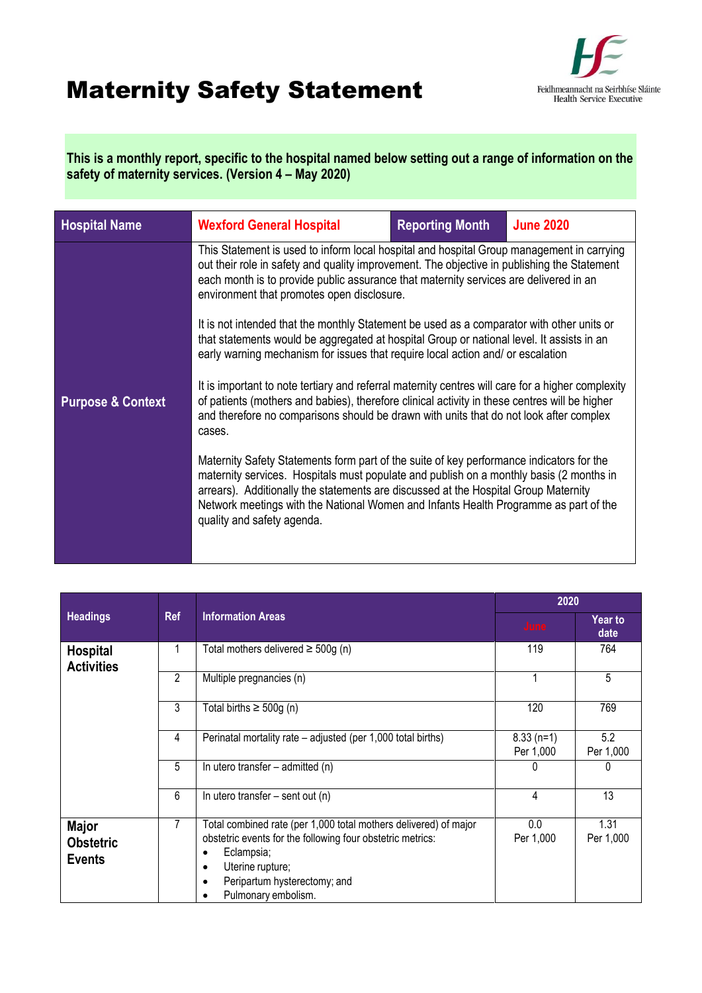## Maternity Safety Statement



**This is a monthly report, specific to the hospital named below setting out a range of information on the safety of maternity services. (Version 4 – May 2020)**

| <b>Hospital Name</b>                                                                                                                                                                                                                                                                                                                                                                                                                                                                                                                                                                                                | <b>Wexford General Hospital</b>                                                                                                                                                                                                                                                                                                                                                                  | <b>Reporting Month</b> | <b>June 2020</b> |  |
|---------------------------------------------------------------------------------------------------------------------------------------------------------------------------------------------------------------------------------------------------------------------------------------------------------------------------------------------------------------------------------------------------------------------------------------------------------------------------------------------------------------------------------------------------------------------------------------------------------------------|--------------------------------------------------------------------------------------------------------------------------------------------------------------------------------------------------------------------------------------------------------------------------------------------------------------------------------------------------------------------------------------------------|------------------------|------------------|--|
|                                                                                                                                                                                                                                                                                                                                                                                                                                                                                                                                                                                                                     | This Statement is used to inform local hospital and hospital Group management in carrying<br>out their role in safety and quality improvement. The objective in publishing the Statement<br>each month is to provide public assurance that maternity services are delivered in an<br>environment that promotes open disclosure.                                                                  |                        |                  |  |
| It is not intended that the monthly Statement be used as a comparator with other units or<br>that statements would be aggregated at hospital Group or national level. It assists in an<br>early warning mechanism for issues that require local action and/ or escalation<br>It is important to note tertiary and referral maternity centres will care for a higher complexity<br>of patients (mothers and babies), therefore clinical activity in these centres will be higher<br><b>Purpose &amp; Context</b><br>and therefore no comparisons should be drawn with units that do not look after complex<br>cases. |                                                                                                                                                                                                                                                                                                                                                                                                  |                        |                  |  |
|                                                                                                                                                                                                                                                                                                                                                                                                                                                                                                                                                                                                                     |                                                                                                                                                                                                                                                                                                                                                                                                  |                        |                  |  |
|                                                                                                                                                                                                                                                                                                                                                                                                                                                                                                                                                                                                                     | Maternity Safety Statements form part of the suite of key performance indicators for the<br>maternity services. Hospitals must populate and publish on a monthly basis (2 months in<br>arrears). Additionally the statements are discussed at the Hospital Group Maternity<br>Network meetings with the National Women and Infants Health Programme as part of the<br>quality and safety agenda. |                        |                  |  |
|                                                                                                                                                                                                                                                                                                                                                                                                                                                                                                                                                                                                                     |                                                                                                                                                                                                                                                                                                                                                                                                  |                        |                  |  |

|                                                   | <b>Ref</b> | <b>Information Areas</b>                                                                                                                                                                                                                       | 2020                     |                   |
|---------------------------------------------------|------------|------------------------------------------------------------------------------------------------------------------------------------------------------------------------------------------------------------------------------------------------|--------------------------|-------------------|
| <b>Headings</b>                                   |            |                                                                                                                                                                                                                                                | June                     | Year to<br>date   |
| <b>Hospital</b><br><b>Activities</b>              |            | Total mothers delivered $\geq$ 500g (n)                                                                                                                                                                                                        | 119                      | 764               |
|                                                   | 2          | Multiple pregnancies (n)                                                                                                                                                                                                                       |                          | 5                 |
|                                                   | 3          | Total births $\geq 500g$ (n)                                                                                                                                                                                                                   | 120                      | 769               |
|                                                   | 4          | Perinatal mortality rate – adjusted (per 1,000 total births)                                                                                                                                                                                   | $8.33(n=1)$<br>Per 1,000 | 5.2<br>Per 1,000  |
|                                                   | 5          | In utero transfer $-$ admitted (n)                                                                                                                                                                                                             |                          | 0                 |
|                                                   | 6          | In utero transfer $-$ sent out (n)                                                                                                                                                                                                             | 4                        | 13                |
| <b>Major</b><br><b>Obstetric</b><br><b>Events</b> | 7          | Total combined rate (per 1,000 total mothers delivered) of major<br>obstetric events for the following four obstetric metrics:<br>Eclampsia;<br>٠<br>Uterine rupture;<br>$\bullet$<br>Peripartum hysterectomy; and<br>٠<br>Pulmonary embolism. | 0.0<br>Per 1,000         | 1.31<br>Per 1,000 |